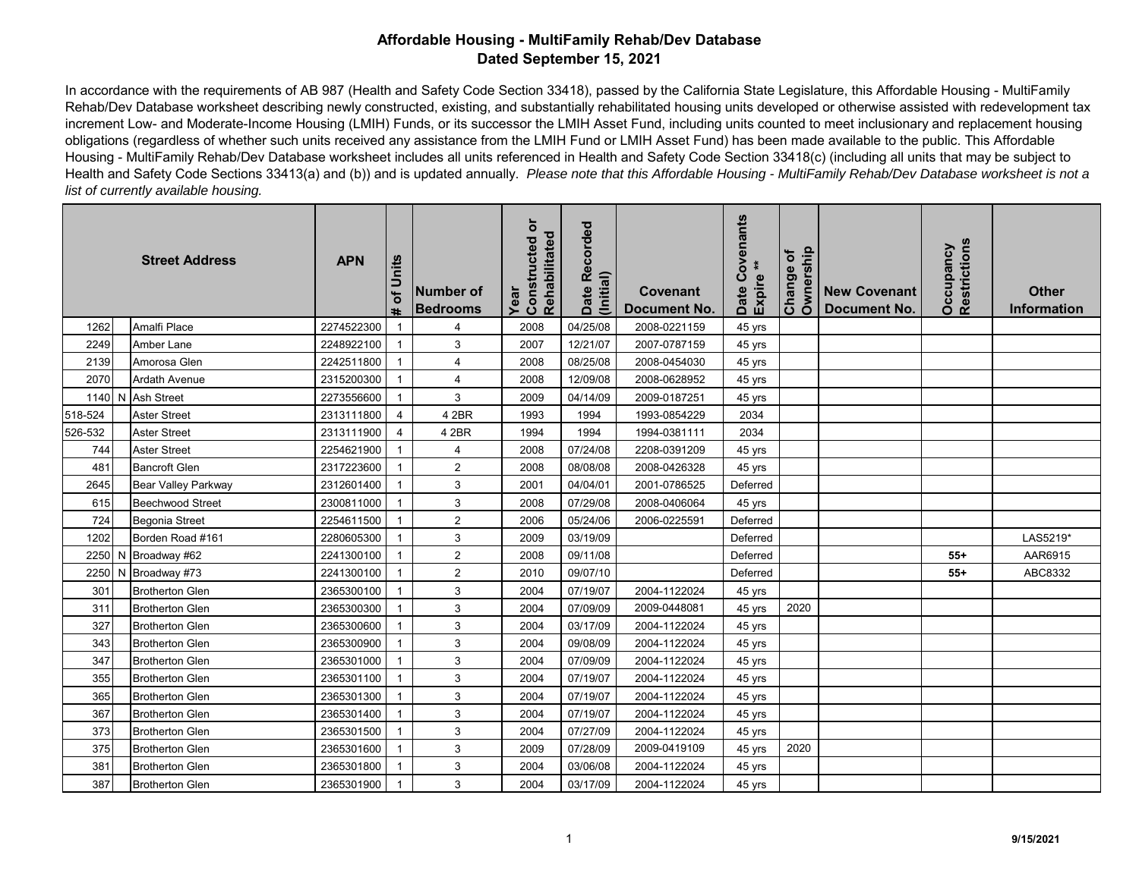In accordance with the requirements of AB 987 (Health and Safety Code Section 33418), passed by the California State Legislature, this Affordable Housing - MultiFamily Rehab/Dev Database worksheet describing newly constructed, existing, and substantially rehabilitated housing units developed or otherwise assisted with redevelopment tax increment Low- and Moderate-Income Housing (LMIH) Funds, or its successor the LMIH Asset Fund, including units counted to meet inclusionary and replacement housing obligations (regardless of whether such units received any assistance from the LMIH Fund or LMIH Asset Fund) has been made available to the public. This Affordable Housing - MultiFamily Rehab/Dev Database worksheet includes all units referenced in Health and Safety Code Section 33418(c) (including all units that may be subject to Health and Safety Code Sections 33413(a) and (b)) and is updated annually. *Please note that this Affordable Housing - MultiFamily Rehab/Dev Database worksheet is not a list of currently available housing.*

| <b>Street Address</b> |  |                         | <b>APN</b> | of Units       | Number of<br><b>Bedrooms</b> | ŏ<br>Rehabilitated<br>Constructed<br>Year | Date Recorded<br>(Initial) | <b>Covenant</b><br><b>Document No.</b> | ovenants<br>Expire **<br>ق<br>Date | Ownership<br>Change of | <b>New Covenant</b><br><b>Document No.</b> | Restrictions<br>Occupancy | <b>Other</b><br>Information |
|-----------------------|--|-------------------------|------------|----------------|------------------------------|-------------------------------------------|----------------------------|----------------------------------------|------------------------------------|------------------------|--------------------------------------------|---------------------------|-----------------------------|
| 1262                  |  | Amalfi Place            | 2274522300 | $\mathbf{1}$   | 4                            | 2008                                      | 04/25/08                   | 2008-0221159                           | 45 yrs                             |                        |                                            |                           |                             |
| 2249                  |  | Amber Lane              | 2248922100 | $\mathbf{1}$   | 3                            | 2007                                      | 12/21/07                   | 2007-0787159                           | 45 yrs                             |                        |                                            |                           |                             |
| 2139                  |  | Amorosa Glen            | 2242511800 | $\mathbf{1}$   | $\overline{4}$               | 2008                                      | 08/25/08                   | 2008-0454030                           | 45 yrs                             |                        |                                            |                           |                             |
| 2070                  |  | <b>Ardath Avenue</b>    | 2315200300 | $\mathbf{1}$   | $\overline{\mathbf{4}}$      | 2008                                      | 12/09/08                   | 2008-0628952                           | 45 yrs                             |                        |                                            |                           |                             |
|                       |  | 1140 N Ash Street       | 2273556600 | $\mathbf{1}$   | 3                            | 2009                                      | 04/14/09                   | 2009-0187251                           | 45 yrs                             |                        |                                            |                           |                             |
| 518-524               |  | <b>Aster Street</b>     | 2313111800 | $\overline{4}$ | 4 2BR                        | 1993                                      | 1994                       | 1993-0854229                           | 2034                               |                        |                                            |                           |                             |
| 526-532               |  | <b>Aster Street</b>     | 2313111900 | 4              | 4 2BR                        | 1994                                      | 1994                       | 1994-0381111                           | 2034                               |                        |                                            |                           |                             |
| 744                   |  | <b>Aster Street</b>     | 2254621900 | $\mathbf{1}$   | 4                            | 2008                                      | 07/24/08                   | 2208-0391209                           | 45 yrs                             |                        |                                            |                           |                             |
| 481                   |  | <b>Bancroft Glen</b>    | 2317223600 | $\mathbf{1}$   | $\overline{c}$               | 2008                                      | 08/08/08                   | 2008-0426328                           | 45 yrs                             |                        |                                            |                           |                             |
| 2645                  |  | Bear Valley Parkway     | 2312601400 | $\mathbf{1}$   | 3                            | 2001                                      | 04/04/01                   | 2001-0786525                           | Deferred                           |                        |                                            |                           |                             |
| 615                   |  | <b>Beechwood Street</b> | 2300811000 | $\mathbf{1}$   | 3                            | 2008                                      | 07/29/08                   | 2008-0406064                           | 45 yrs                             |                        |                                            |                           |                             |
| 724                   |  | <b>Begonia Street</b>   | 2254611500 | $\mathbf{1}$   | $\sqrt{2}$                   | 2006                                      | 05/24/06                   | 2006-0225591                           | Deferred                           |                        |                                            |                           |                             |
| 1202                  |  | Borden Road #161        | 2280605300 | $\mathbf{1}$   | 3                            | 2009                                      | 03/19/09                   |                                        | Deferred                           |                        |                                            |                           | LAS5219*                    |
|                       |  | 2250 N Broadway #62     | 2241300100 | $\mathbf{1}$   | $\overline{2}$               | 2008                                      | 09/11/08                   |                                        | Deferred                           |                        |                                            | $55+$                     | AAR6915                     |
|                       |  | 2250 N Broadway #73     | 2241300100 | $\mathbf{1}$   | $\overline{2}$               | 2010                                      | 09/07/10                   |                                        | Deferred                           |                        |                                            | $55+$                     | ABC8332                     |
| 301                   |  | <b>Brotherton Glen</b>  | 2365300100 | $\overline{1}$ | 3                            | 2004                                      | 07/19/07                   | 2004-1122024                           | 45 yrs                             |                        |                                            |                           |                             |
| 311                   |  | <b>Brotherton Glen</b>  | 2365300300 | $\mathbf{1}$   | 3                            | 2004                                      | 07/09/09                   | 2009-0448081                           | 45 yrs                             | 2020                   |                                            |                           |                             |
| 327                   |  | <b>Brotherton Glen</b>  | 2365300600 | $\mathbf{1}$   | 3                            | 2004                                      | 03/17/09                   | 2004-1122024                           | 45 yrs                             |                        |                                            |                           |                             |
| 343                   |  | <b>Brotherton Glen</b>  | 2365300900 | $\mathbf{1}$   | 3                            | 2004                                      | 09/08/09                   | 2004-1122024                           | 45 yrs                             |                        |                                            |                           |                             |
| 347                   |  | <b>Brotherton Glen</b>  | 2365301000 | $\mathbf{1}$   | 3                            | 2004                                      | 07/09/09                   | 2004-1122024                           | 45 yrs                             |                        |                                            |                           |                             |
| 355                   |  | <b>Brotherton Glen</b>  | 2365301100 | $\mathbf{1}$   | 3                            | 2004                                      | 07/19/07                   | 2004-1122024                           | 45 yrs                             |                        |                                            |                           |                             |
| 365                   |  | <b>Brotherton Glen</b>  | 2365301300 | $\mathbf{1}$   | 3                            | 2004                                      | 07/19/07                   | 2004-1122024                           | 45 yrs                             |                        |                                            |                           |                             |
| 367                   |  | <b>Brotherton Glen</b>  | 2365301400 | $\mathbf{1}$   | 3                            | 2004                                      | 07/19/07                   | 2004-1122024                           | 45 yrs                             |                        |                                            |                           |                             |
| 373                   |  | <b>Brotherton Glen</b>  | 2365301500 | $\mathbf{1}$   | 3                            | 2004                                      | 07/27/09                   | 2004-1122024                           | 45 yrs                             |                        |                                            |                           |                             |
| 375                   |  | <b>Brotherton Glen</b>  | 2365301600 | $\mathbf{1}$   | 3                            | 2009                                      | 07/28/09                   | 2009-0419109                           | 45 yrs                             | 2020                   |                                            |                           |                             |
| 381                   |  | <b>Brotherton Glen</b>  | 2365301800 | $\mathbf{1}$   | 3                            | 2004                                      | 03/06/08                   | 2004-1122024                           | 45 yrs                             |                        |                                            |                           |                             |
| 387                   |  | <b>Brotherton Glen</b>  | 2365301900 |                | 3                            | 2004                                      | 03/17/09                   | 2004-1122024                           | 45 yrs                             |                        |                                            |                           |                             |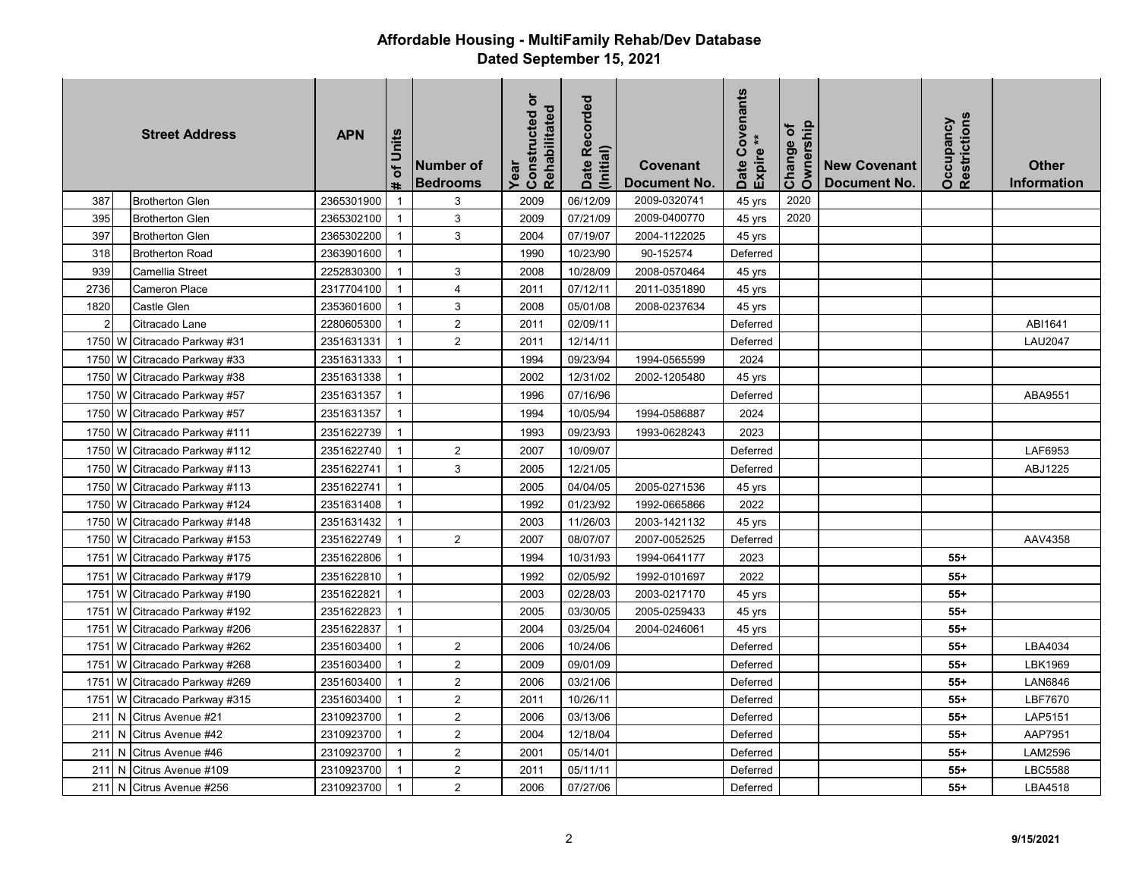| <b>Street Address</b> |    |                               | <b>APN</b> | of Units<br>tt. | Number of<br><b>Bedrooms</b> | Constructed or<br>Rehabilitated<br>Year | Date Recorded<br>(Initial) | <b>Covenant</b><br><b>Document No</b> | Covenants<br>$\ddot{*}$<br>Expire<br>Date | Ownership<br>Change of | <b>New Covenant</b><br>Document No. | Restrictions<br>Occupancy | <b>Other</b><br>Information |
|-----------------------|----|-------------------------------|------------|-----------------|------------------------------|-----------------------------------------|----------------------------|---------------------------------------|-------------------------------------------|------------------------|-------------------------------------|---------------------------|-----------------------------|
| 387                   |    | <b>Brotherton Glen</b>        | 2365301900 | $\mathbf{1}$    | 3                            | 2009                                    | 06/12/09                   | 2009-0320741                          | 45 yrs                                    | 2020                   |                                     |                           |                             |
| 395                   |    | <b>Brotherton Glen</b>        | 2365302100 | $\overline{1}$  | 3                            | 2009                                    | 07/21/09                   | 2009-0400770                          | 45 yrs                                    | 2020                   |                                     |                           |                             |
| 397                   |    | <b>Brotherton Glen</b>        | 2365302200 | $\mathbf{1}$    | 3                            | 2004                                    | 07/19/07                   | 2004-1122025                          | 45 yrs                                    |                        |                                     |                           |                             |
| 318                   |    | <b>Brotherton Road</b>        | 2363901600 | $\mathbf{1}$    |                              | 1990                                    | 10/23/90                   | 90-152574                             | Deferred                                  |                        |                                     |                           |                             |
| 939                   |    | Camellia Street               | 2252830300 | $\overline{1}$  | 3                            | 2008                                    | 10/28/09                   | 2008-0570464                          | 45 yrs                                    |                        |                                     |                           |                             |
| 2736                  |    | Cameron Place                 | 2317704100 | $\mathbf{1}$    | $\overline{4}$               | 2011                                    | 07/12/11                   | 2011-0351890                          | 45 yrs                                    |                        |                                     |                           |                             |
| 1820                  |    | Castle Glen                   | 2353601600 | $\mathbf{1}$    | 3                            | 2008                                    | 05/01/08                   | 2008-0237634                          | 45 yrs                                    |                        |                                     |                           |                             |
| $\overline{2}$        |    | Citracado Lane                | 2280605300 | $\mathbf{1}$    | 2                            | 2011                                    | 02/09/11                   |                                       | Deferred                                  |                        |                                     |                           | ABI1641                     |
| 1750                  | W  | Citracado Parkway #31         | 2351631331 | $\mathbf{1}$    | 2                            | 2011                                    | 12/14/11                   |                                       | Deferred                                  |                        |                                     |                           | <b>LAU2047</b>              |
| 1750                  | W  | Citracado Parkway #33         | 2351631333 | $\overline{1}$  |                              | 1994                                    | 09/23/94                   | 1994-0565599                          | 2024                                      |                        |                                     |                           |                             |
|                       |    | 1750 W Citracado Parkway #38  | 2351631338 | $\mathbf{1}$    |                              | 2002                                    | 12/31/02                   | 2002-1205480                          | 45 yrs                                    |                        |                                     |                           |                             |
|                       |    | 1750 W Citracado Parkway #57  | 2351631357 | $\mathbf{1}$    |                              | 1996                                    | 07/16/96                   |                                       | Deferred                                  |                        |                                     |                           | ABA9551                     |
|                       |    | 1750 W Citracado Parkway #57  | 2351631357 | $\mathbf{1}$    |                              | 1994                                    | 10/05/94                   | 1994-0586887                          | 2024                                      |                        |                                     |                           |                             |
|                       |    | 1750 W Citracado Parkway #111 | 2351622739 | $\overline{1}$  |                              | 1993                                    | 09/23/93                   | 1993-0628243                          | 2023                                      |                        |                                     |                           |                             |
|                       |    | 1750 W Citracado Parkway #112 | 2351622740 | $\overline{1}$  | 2                            | 2007                                    | 10/09/07                   |                                       | Deferred                                  |                        |                                     |                           | LAF6953                     |
| 1750                  |    | W Citracado Parkway #113      | 2351622741 | $\mathbf{1}$    | 3                            | 2005                                    | 12/21/05                   |                                       | Deferred                                  |                        |                                     |                           | ABJ1225                     |
| 1750                  | W. | Citracado Parkway #113        | 2351622741 | $\mathbf{1}$    |                              | 2005                                    | 04/04/05                   | 2005-0271536                          | 45 yrs                                    |                        |                                     |                           |                             |
| 1750                  | W  | Citracado Parkway #124        | 2351631408 | $\overline{1}$  |                              | 1992                                    | 01/23/92                   | 1992-0665866                          | 2022                                      |                        |                                     |                           |                             |
| 1750 W                |    | Citracado Parkway #148        | 2351631432 | $\mathbf{1}$    |                              | 2003                                    | 11/26/03                   | 2003-1421132                          | 45 yrs                                    |                        |                                     |                           |                             |
|                       |    | 1750 W Citracado Parkway #153 | 2351622749 | $\mathbf{1}$    | $\overline{2}$               | 2007                                    | 08/07/07                   | 2007-0052525                          | Deferred                                  |                        |                                     |                           | AAV4358                     |
| 1751                  |    | W Citracado Parkway #175      | 2351622806 | $\overline{1}$  |                              | 1994                                    | 10/31/93                   | 1994-0641177                          | 2023                                      |                        |                                     | $55+$                     |                             |
| 1751                  |    | W Citracado Parkway #179      | 2351622810 | $\overline{1}$  |                              | 1992                                    | 02/05/92                   | 1992-0101697                          | 2022                                      |                        |                                     | $55+$                     |                             |
| 1751                  | W  | Citracado Parkway #190        | 2351622821 | $\mathbf{1}$    |                              | 2003                                    | 02/28/03                   | 2003-0217170                          | 45 yrs                                    |                        |                                     | $55+$                     |                             |
| 1751                  | W  | Citracado Parkway #192        | 2351622823 | $\mathbf{1}$    |                              | 2005                                    | 03/30/05                   | 2005-0259433                          | 45 yrs                                    |                        |                                     | $55+$                     |                             |
| 1751                  |    | W Citracado Parkway #206      | 2351622837 | $\overline{1}$  |                              | 2004                                    | 03/25/04                   | 2004-0246061                          | 45 yrs                                    |                        |                                     | $55+$                     |                             |
| 1751                  |    | W Citracado Parkway #262      | 2351603400 | $\mathbf{1}$    | 2                            | 2006                                    | 10/24/06                   |                                       | Deferred                                  |                        |                                     | $55+$                     | LBA4034                     |
| 1751                  |    | W Citracado Parkway #268      | 2351603400 | $\mathbf{1}$    | $\overline{2}$               | 2009                                    | 09/01/09                   |                                       | Deferred                                  |                        |                                     | $55+$                     | LBK1969                     |
| 1751                  |    | W Citracado Parkway #269      | 2351603400 | $\mathbf{1}$    | $\overline{2}$               | 2006                                    | 03/21/06                   |                                       | Deferred                                  |                        |                                     | $55+$                     | <b>LAN6846</b>              |
| 1751                  | W. | Citracado Parkway #315        | 2351603400 | $\mathbf{1}$    | $\overline{2}$               | 2011                                    | 10/26/11                   |                                       | Deferred                                  |                        |                                     | $55+$                     | LBF7670                     |
| 211                   | N  | Citrus Avenue #21             | 2310923700 | $\mathbf{1}$    | $\sqrt{2}$                   | 2006                                    | 03/13/06                   |                                       | Deferred                                  |                        |                                     | $55+$                     | LAP5151                     |
| 211                   | N. | Citrus Avenue #42             | 2310923700 | $\overline{1}$  | $\sqrt{2}$                   | 2004                                    | 12/18/04                   |                                       | Deferred                                  |                        |                                     | $55+$                     | AAP7951                     |
| 211                   | N  | Citrus Avenue #46             | 2310923700 | $\mathbf{1}$    | $\overline{2}$               | 2001                                    | 05/14/01                   |                                       | Deferred                                  |                        |                                     | $55+$                     | LAM2596                     |
| 211                   | N. | Citrus Avenue #109            | 2310923700 | $\overline{1}$  | 2                            | 2011                                    | 05/11/11                   |                                       | Deferred                                  |                        |                                     | $55+$                     | <b>LBC5588</b>              |
| 211                   | N  | Citrus Avenue #256            | 2310923700 | $\overline{1}$  | 2                            | 2006                                    | 07/27/06                   |                                       | Deferred                                  |                        |                                     | $55+$                     | LBA4518                     |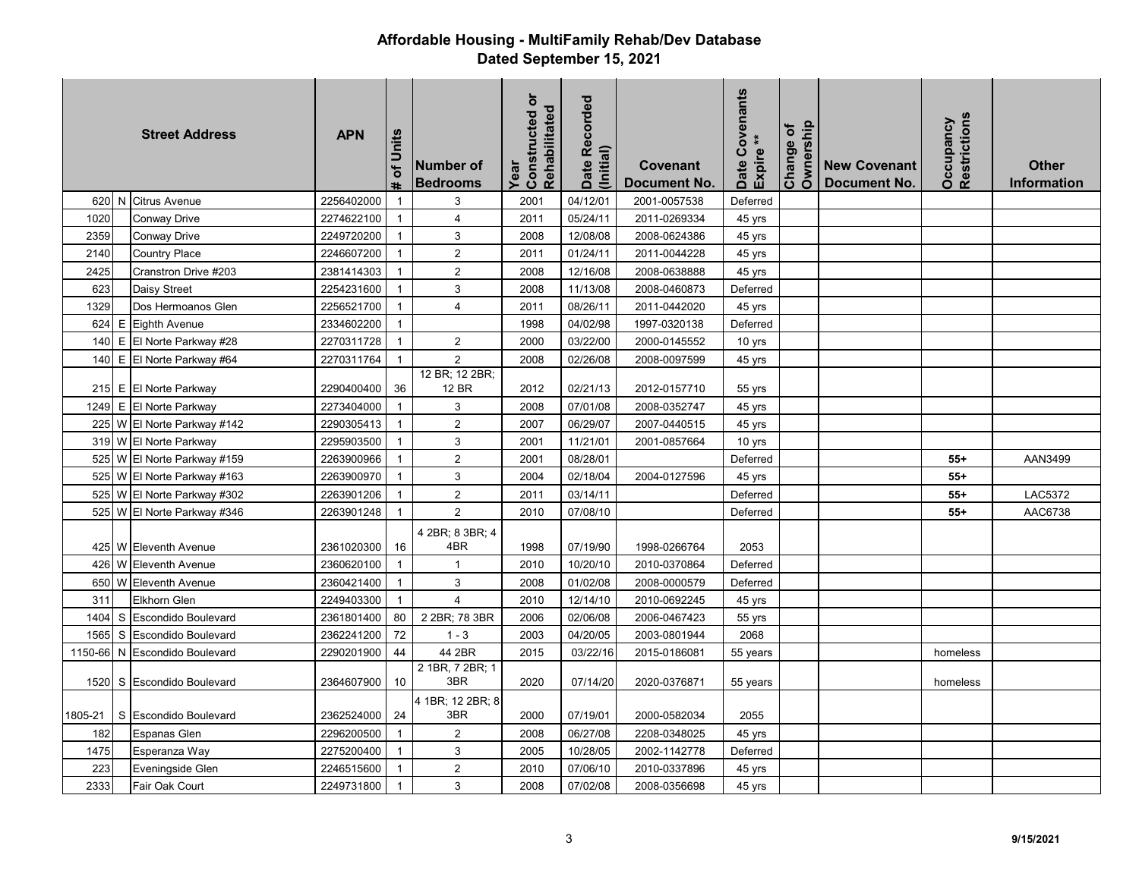|         |              | <b>Street Address</b>      | <b>APN</b> | of Units<br>$\ddot{}$ | Number of<br><b>Bedrooms</b> | Constructed or<br>Rehabilitated<br>Year | Date Recorded<br>(Initial) | Covenant<br>Document No. | Covenants<br>$\ast$<br>Expire <sup>*</sup><br>Date | Ownership<br>৳<br>Change | <b>New Covenant</b><br><b>Document No.</b> | Restrictions<br>Occupancy | <b>Other</b><br><b>Information</b> |
|---------|--------------|----------------------------|------------|-----------------------|------------------------------|-----------------------------------------|----------------------------|--------------------------|----------------------------------------------------|--------------------------|--------------------------------------------|---------------------------|------------------------------------|
|         |              | 620 N Citrus Avenue        | 2256402000 | $\mathbf{1}$          | 3                            | 2001                                    | 04/12/01                   | 2001-0057538             | Deferred                                           |                          |                                            |                           |                                    |
| 1020    |              | Conway Drive               | 2274622100 | $\mathbf{1}$          | $\overline{4}$               | 2011                                    | 05/24/11                   | 2011-0269334             | 45 yrs                                             |                          |                                            |                           |                                    |
| 2359    |              | Conway Drive               | 2249720200 | $\mathbf{1}$          | 3                            | 2008                                    | 12/08/08                   | 2008-0624386             | 45 yrs                                             |                          |                                            |                           |                                    |
| 2140    |              | Country Place              | 2246607200 | $\mathbf{1}$          | $\overline{2}$               | 2011                                    | 01/24/11                   | 2011-0044228             | 45 yrs                                             |                          |                                            |                           |                                    |
| 2425    |              | Cranstron Drive #203       | 2381414303 | $\mathbf{1}$          | 2                            | 2008                                    | 12/16/08                   | 2008-0638888             | 45 yrs                                             |                          |                                            |                           |                                    |
| 623     |              | Daisy Street               | 2254231600 | $\mathbf{1}$          | 3                            | 2008                                    | 11/13/08                   | 2008-0460873             | Deferred                                           |                          |                                            |                           |                                    |
| 1329    |              | Dos Hermoanos Glen         | 2256521700 | $\mathbf{1}$          | 4                            | 2011                                    | 08/26/11                   | 2011-0442020             | 45 yrs                                             |                          |                                            |                           |                                    |
| 624     | E            | <b>Eighth Avenue</b>       | 2334602200 | $\mathbf{1}$          |                              | 1998                                    | 04/02/98                   | 1997-0320138             | Deferred                                           |                          |                                            |                           |                                    |
| 140     | E            | El Norte Parkway #28       | 2270311728 | $\mathbf{1}$          | $\overline{2}$               | 2000                                    | 03/22/00                   | 2000-0145552             | 10 yrs                                             |                          |                                            |                           |                                    |
| 140     |              | E El Norte Parkway #64     | 2270311764 | $\mathbf{1}$          | $\overline{2}$               | 2008                                    | 02/26/08                   | 2008-0097599             | 45 yrs                                             |                          |                                            |                           |                                    |
|         |              | 215 E El Norte Parkway     | 2290400400 | 36                    | 12 BR; 12 2BR;<br>12 BR      | 2012                                    | 02/21/13                   | 2012-0157710             | 55 yrs                                             |                          |                                            |                           |                                    |
| 1249    |              | E El Norte Parkway         | 2273404000 | $\mathbf{1}$          | 3                            | 2008                                    | 07/01/08                   | 2008-0352747             | 45 yrs                                             |                          |                                            |                           |                                    |
| 225     |              | W El Norte Parkway #142    | 2290305413 | $\mathbf{1}$          | $\sqrt{2}$                   | 2007                                    | 06/29/07                   | 2007-0440515             | 45 yrs                                             |                          |                                            |                           |                                    |
|         |              | 319 W El Norte Parkway     | 2295903500 | $\mathbf{1}$          | 3                            | 2001                                    | 11/21/01                   | 2001-0857664             | 10 yrs                                             |                          |                                            |                           |                                    |
| 525     | W            | El Norte Parkway #159      | 2263900966 | $\mathbf{1}$          | 2                            | 2001                                    | 08/28/01                   |                          | Deferred                                           |                          |                                            | $55+$                     | AAN3499                            |
| 525     |              | W El Norte Parkway #163    | 2263900970 | $\mathbf{1}$          | 3                            | 2004                                    | 02/18/04                   | 2004-0127596             | 45 yrs                                             |                          |                                            | $55+$                     |                                    |
| 525     |              | W El Norte Parkway #302    | 2263901206 | $\mathbf{1}$          | $\overline{2}$               | 2011                                    | 03/14/11                   |                          | Deferred                                           |                          |                                            | $55+$                     | <b>LAC5372</b>                     |
| 525     |              | W El Norte Parkway #346    | 2263901248 | $\mathbf{1}$          | $\overline{2}$               | 2010                                    | 07/08/10                   |                          | Deferred                                           |                          |                                            | $55+$                     | AAC6738                            |
|         |              | 425 W Eleventh Avenue      | 2361020300 | 16                    | 4 2BR; 8 3BR; 4<br>4BR       | 1998                                    | 07/19/90                   | 1998-0266764             | 2053                                               |                          |                                            |                           |                                    |
| 426     | W            | <b>Eleventh Avenue</b>     | 2360620100 | $\mathbf{1}$          | $\mathbf{1}$                 | 2010                                    | 10/20/10                   | 2010-0370864             | Deferred                                           |                          |                                            |                           |                                    |
| 650     | W            | <b>Eleventh Avenue</b>     | 2360421400 | $\mathbf{1}$          | 3                            | 2008                                    | 01/02/08                   | 2008-0000579             | Deferred                                           |                          |                                            |                           |                                    |
| 311     |              | Elkhorn Glen               | 2249403300 | $\mathbf{1}$          | $\overline{4}$               | 2010                                    | 12/14/10                   | 2010-0692245             | 45 yrs                                             |                          |                                            |                           |                                    |
| 1404    | S.           | <b>Escondido Boulevard</b> | 2361801400 | 80                    | 2 2BR; 78 3BR                | 2006                                    | 02/06/08                   | 2006-0467423             | 55 yrs                                             |                          |                                            |                           |                                    |
| 1565    | $\mathbf{s}$ | <b>Escondido Boulevard</b> | 2362241200 | 72                    | $1 - 3$                      | 2003                                    | 04/20/05                   | 2003-0801944             | 2068                                               |                          |                                            |                           |                                    |
| 1150-66 | N.           | <b>Escondido Boulevard</b> | 2290201900 | 44                    | 44 2BR                       | 2015                                    | 03/22/16                   | 2015-0186081             | 55 years                                           |                          |                                            | homeless                  |                                    |
| 1520    |              | S Escondido Boulevard      | 2364607900 | 10                    | 2 1BR, 7 2BR; 1<br>3BR       | 2020                                    | 07/14/20                   | 2020-0376871             | 55 years                                           |                          |                                            | homeless                  |                                    |
| 1805-21 | S.           | <b>Escondido Boulevard</b> | 2362524000 | 24                    | 4 1BR; 12 2BR; 8<br>3BR      | 2000                                    | 07/19/01                   | 2000-0582034             | 2055                                               |                          |                                            |                           |                                    |
| 182     |              | Espanas Glen               | 2296200500 | $\mathbf{1}$          | $\overline{2}$               | 2008                                    | 06/27/08                   | 2208-0348025             | 45 yrs                                             |                          |                                            |                           |                                    |
| 1475    |              | Esperanza Way              | 2275200400 | $\mathbf{1}$          | 3                            | 2005                                    | 10/28/05                   | 2002-1142778             | Deferred                                           |                          |                                            |                           |                                    |
| 223     |              | Eveningside Glen           | 2246515600 | $\mathbf{1}$          | $\overline{2}$               | 2010                                    | 07/06/10                   | 2010-0337896             | 45 yrs                                             |                          |                                            |                           |                                    |
| 2333    |              | Fair Oak Court             | 2249731800 | 1                     | 3                            | 2008                                    | 07/02/08                   | 2008-0356698             | 45 yrs                                             |                          |                                            |                           |                                    |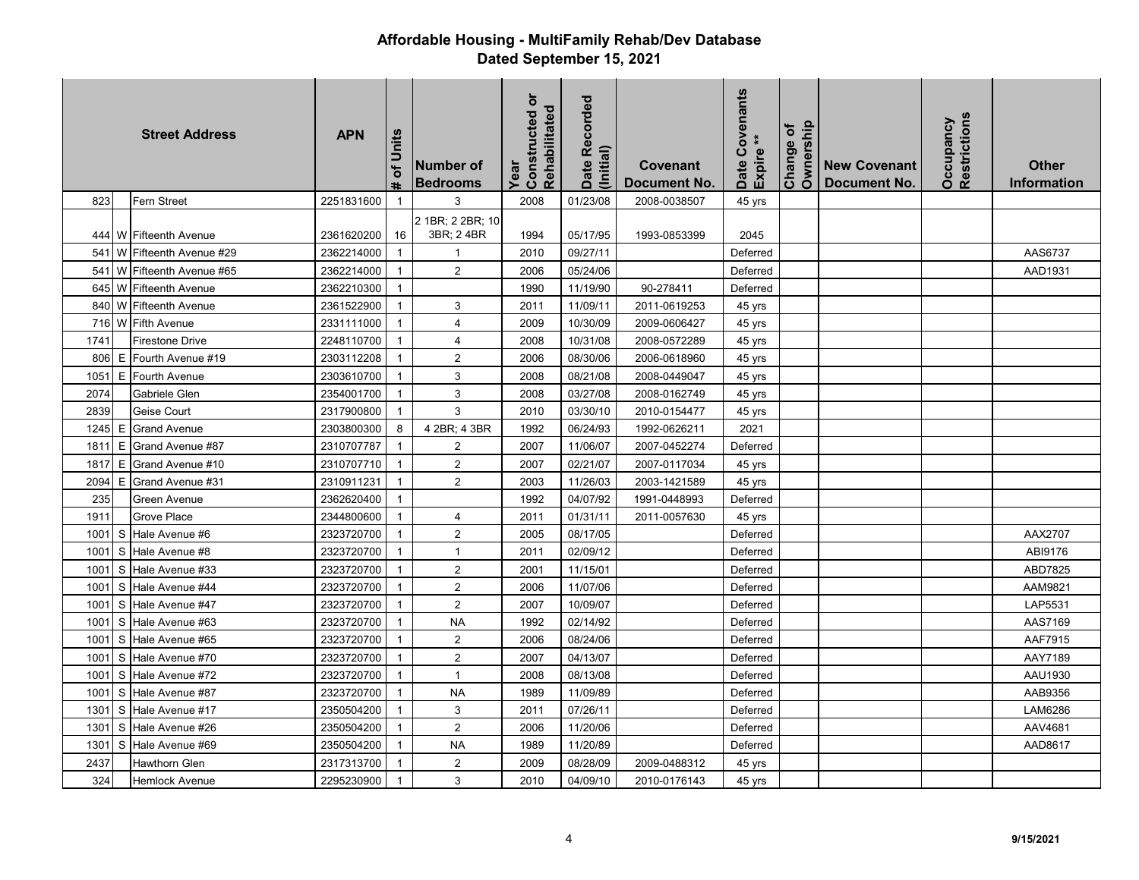| <b>Street Address</b> |    |                         | <b>APN</b> | of Units<br>ä. | Number of<br><b>Bedrooms</b> | $\overline{5}$<br>Rehabilitated<br>Constructed<br>Year | Date Recorded<br>(Initial) | Covenant<br>Document No. | Covenants<br>$\ast$<br>Expire <sup>3</sup><br>Date | Ownership<br>Change of | <b>New Covenant</b><br>Document No. | Restrictions<br>Occupancy | <b>Other</b><br><b>Information</b> |
|-----------------------|----|-------------------------|------------|----------------|------------------------------|--------------------------------------------------------|----------------------------|--------------------------|----------------------------------------------------|------------------------|-------------------------------------|---------------------------|------------------------------------|
| 823                   |    | Fern Street             | 2251831600 |                | 3                            | 2008                                                   | 01/23/08                   | 2008-0038507             | 45 yrs                                             |                        |                                     |                           |                                    |
|                       |    |                         |            |                | 2 1BR; 2 2BR; 10             |                                                        |                            |                          |                                                    |                        |                                     |                           |                                    |
|                       |    | 444 W Fifteenth Avenue  | 2361620200 | 16             | 3BR; 24BR                    | 1994                                                   | 05/17/95                   | 1993-0853399             | 2045                                               |                        |                                     |                           |                                    |
| 541                   | W  | Fifteenth Avenue #29    | 2362214000 | $\mathbf{1}$   | $\mathbf{1}$                 | 2010                                                   | 09/27/11                   |                          | Deferred                                           |                        |                                     |                           | AAS6737                            |
| 541                   | W  | Fifteenth Avenue #65    | 2362214000 | $\mathbf{1}$   | $\overline{2}$               | 2006                                                   | 05/24/06                   |                          | Deferred                                           |                        |                                     |                           | AAD1931                            |
| 645 W                 |    | <b>Fifteenth Avenue</b> | 2362210300 | $\mathbf{1}$   |                              | 1990                                                   | 11/19/90                   | 90-278411                | Deferred                                           |                        |                                     |                           |                                    |
| 840 W                 |    | <b>Fifteenth Avenue</b> | 2361522900 | $\mathbf{1}$   | 3                            | 2011                                                   | 11/09/11                   | 2011-0619253             | 45 yrs                                             |                        |                                     |                           |                                    |
| 716 W                 |    | <b>Fifth Avenue</b>     | 2331111000 | $\overline{1}$ | $\overline{4}$               | 2009                                                   | 10/30/09                   | 2009-0606427             | 45 yrs                                             |                        |                                     |                           |                                    |
| 1741                  |    | <b>Firestone Drive</b>  | 2248110700 | $\mathbf{1}$   | 4                            | 2008                                                   | 10/31/08                   | 2008-0572289             | 45 yrs                                             |                        |                                     |                           |                                    |
| 806                   | E  | Fourth Avenue #19       | 2303112208 | $\mathbf{1}$   | $\overline{2}$               | 2006                                                   | 08/30/06                   | 2006-0618960             | 45 yrs                                             |                        |                                     |                           |                                    |
| 1051                  | E. | Fourth Avenue           | 2303610700 | $\mathbf{1}$   | 3                            | 2008                                                   | 08/21/08                   | 2008-0449047             | 45 yrs                                             |                        |                                     |                           |                                    |
| 2074                  |    | Gabriele Glen           | 2354001700 | $\mathbf{1}$   | 3                            | 2008                                                   | 03/27/08                   | 2008-0162749             | 45 yrs                                             |                        |                                     |                           |                                    |
| 2839                  |    | Geise Court             | 2317900800 | $\overline{1}$ | 3                            | 2010                                                   | 03/30/10                   | 2010-0154477             | 45 yrs                                             |                        |                                     |                           |                                    |
|                       |    | 1245 E Grand Avenue     | 2303800300 | 8              | 4 2BR; 4 3BR                 | 1992                                                   | 06/24/93                   | 1992-0626211             | 2021                                               |                        |                                     |                           |                                    |
| 1811                  | E. | Grand Avenue #87        | 2310707787 | $\overline{1}$ | 2                            | 2007                                                   | 11/06/07                   | 2007-0452274             | Deferred                                           |                        |                                     |                           |                                    |
| 1817                  | E. | Grand Avenue #10        | 2310707710 | $\mathbf{1}$   | $\overline{c}$               | 2007                                                   | 02/21/07                   | 2007-0117034             | 45 yrs                                             |                        |                                     |                           |                                    |
| 2094                  | E  | Grand Avenue #31        | 2310911231 | $\mathbf{1}$   | $\overline{2}$               | 2003                                                   | 11/26/03                   | 2003-1421589             | 45 yrs                                             |                        |                                     |                           |                                    |
| 235                   |    | Green Avenue            | 2362620400 | $\overline{1}$ |                              | 1992                                                   | 04/07/92                   | 1991-0448993             | Deferred                                           |                        |                                     |                           |                                    |
| 1911                  |    | Grove Place             | 2344800600 | $\mathbf{1}$   | $\overline{4}$               | 2011                                                   | 01/31/11                   | 2011-0057630             | 45 yrs                                             |                        |                                     |                           |                                    |
| 1001                  | S. | Hale Avenue #6          | 2323720700 | $\mathbf{1}$   | $\overline{2}$               | 2005                                                   | 08/17/05                   |                          | Deferred                                           |                        |                                     |                           | AAX2707                            |
| 1001                  | S  | Hale Avenue #8          | 2323720700 | $\overline{1}$ | $\overline{1}$               | 2011                                                   | 02/09/12                   |                          | Deferred                                           |                        |                                     |                           | ABI9176                            |
| 1001                  | S  | Hale Avenue #33         | 2323720700 | $\mathbf{1}$   | 2                            | 2001                                                   | 11/15/01                   |                          | Deferred                                           |                        |                                     |                           | ABD7825                            |
| 1001                  | S  | Hale Avenue #44         | 2323720700 | $\mathbf{1}$   | $\overline{2}$               | 2006                                                   | 11/07/06                   |                          | Deferred                                           |                        |                                     |                           | AAM9821                            |
| 1001                  | S  | Hale Avenue #47         | 2323720700 | $\mathbf{1}$   | $\overline{2}$               | 2007                                                   | 10/09/07                   |                          | Deferred                                           |                        |                                     |                           | LAP5531                            |
| 1001                  | S. | Hale Avenue #63         | 2323720700 | $\mathbf{1}$   | <b>NA</b>                    | 1992                                                   | 02/14/92                   |                          | Deferred                                           |                        |                                     |                           | AAS7169                            |
| 1001                  | S. | Hale Avenue #65         | 2323720700 | -1             | 2                            | 2006                                                   | 08/24/06                   |                          | Deferred                                           |                        |                                     |                           | AAF7915                            |
| 1001                  | S. | Hale Avenue #70         | 2323720700 | $\overline{1}$ | $\overline{2}$               | 2007                                                   | 04/13/07                   |                          | Deferred                                           |                        |                                     |                           | AAY7189                            |
| 1001                  | S  | Hale Avenue #72         | 2323720700 | $\mathbf{1}$   | $\overline{1}$               | 2008                                                   | 08/13/08                   |                          | Deferred                                           |                        |                                     |                           | AAU1930                            |
| 1001                  | S  | Hale Avenue #87         | 2323720700 | $\mathbf{1}$   | <b>NA</b>                    | 1989                                                   | 11/09/89                   |                          | Deferred                                           |                        |                                     |                           | AAB9356                            |
| 1301                  | S  | Hale Avenue #17         | 2350504200 | $\mathbf{1}$   | 3                            | 2011                                                   | 07/26/11                   |                          | Deferred                                           |                        |                                     |                           | LAM6286                            |
| 1301                  | S  | Hale Avenue #26         | 2350504200 | $\overline{1}$ | 2                            | 2006                                                   | 11/20/06                   |                          | Deferred                                           |                        |                                     |                           | AAV4681                            |
| 1301                  | S  | Hale Avenue #69         | 2350504200 | $\mathbf{1}$   | <b>NA</b>                    | 1989                                                   | 11/20/89                   |                          | Deferred                                           |                        |                                     |                           | AAD8617                            |
| 2437                  |    | Hawthorn Glen           | 2317313700 | $\overline{1}$ | 2                            | 2009                                                   | 08/28/09                   | 2009-0488312             | 45 yrs                                             |                        |                                     |                           |                                    |
| 324                   |    | Hemlock Avenue          | 2295230900 | 1              | 3                            | 2010                                                   | 04/09/10                   | 2010-0176143             | 45 yrs                                             |                        |                                     |                           |                                    |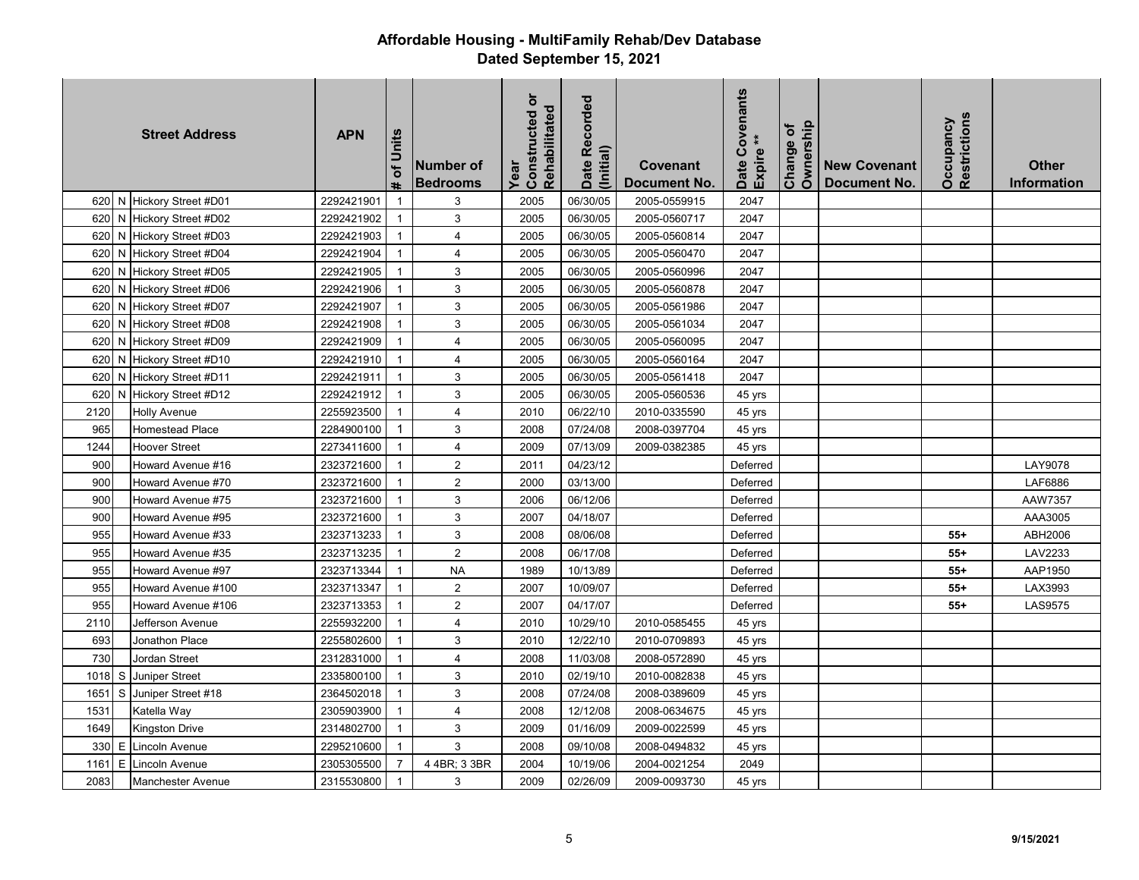|      |     | <b>Street Address</b>      | <b>APN</b> | of Units<br>Ħ. | Number of<br><b>Bedrooms</b> | $\overline{5}$<br>Rehabilitated<br>Constructed<br>Year | Date Recorded<br>(Initial) | Covenant<br><b>Document No.</b> | Covenants<br>Date Cov<br>Expire ** | Ownership<br>Change of | <b>New Covenant</b><br><b>Document No.</b> | Restrictions<br>Occupancy | <b>Other</b><br>Information |
|------|-----|----------------------------|------------|----------------|------------------------------|--------------------------------------------------------|----------------------------|---------------------------------|------------------------------------|------------------------|--------------------------------------------|---------------------------|-----------------------------|
|      |     | 620 N Hickory Street #D01  | 2292421901 | $\mathbf{1}$   | 3                            | 2005                                                   | 06/30/05                   | 2005-0559915                    | 2047                               |                        |                                            |                           |                             |
|      |     | 620 N Hickory Street #D02  | 2292421902 | $\mathbf{1}$   | 3                            | 2005                                                   | 06/30/05                   | 2005-0560717                    | 2047                               |                        |                                            |                           |                             |
| 620  |     | N Hickory Street #D03      | 2292421903 | $\mathbf{1}$   | 4                            | 2005                                                   | 06/30/05                   | 2005-0560814                    | 2047                               |                        |                                            |                           |                             |
| 620  | N.  | <b>Hickory Street #D04</b> | 2292421904 | $\mathbf{1}$   | $\overline{4}$               | 2005                                                   | 06/30/05                   | 2005-0560470                    | 2047                               |                        |                                            |                           |                             |
| 620  | N   | Hickory Street #D05        | 2292421905 | $\mathbf{1}$   | 3                            | 2005                                                   | 06/30/05                   | 2005-0560996                    | 2047                               |                        |                                            |                           |                             |
| 620  | N   | Hickory Street #D06        | 2292421906 | $\mathbf{1}$   | 3                            | 2005                                                   | 06/30/05                   | 2005-0560878                    | 2047                               |                        |                                            |                           |                             |
| 620  | N   | Hickory Street #D07        | 2292421907 | $\mathbf{1}$   | 3                            | 2005                                                   | 06/30/05                   | 2005-0561986                    | 2047                               |                        |                                            |                           |                             |
| 620  | IN. | Hickory Street #D08        | 2292421908 | $\mathbf{1}$   | 3                            | 2005                                                   | 06/30/05                   | 2005-0561034                    | 2047                               |                        |                                            |                           |                             |
|      |     | 620 N Hickory Street #D09  | 2292421909 | $\mathbf{1}$   | $\overline{4}$               | 2005                                                   | 06/30/05                   | 2005-0560095                    | 2047                               |                        |                                            |                           |                             |
| 620  | N   | Hickory Street #D10        | 2292421910 | $\mathbf{1}$   | $\overline{4}$               | 2005                                                   | 06/30/05                   | 2005-0560164                    | 2047                               |                        |                                            |                           |                             |
| 620  | N   | <b>Hickory Street #D11</b> | 2292421911 | $\mathbf{1}$   | $\ensuremath{\mathsf{3}}$    | 2005                                                   | 06/30/05                   | 2005-0561418                    | 2047                               |                        |                                            |                           |                             |
| 620  |     | N Hickory Street #D12      | 2292421912 | $\mathbf{1}$   | 3                            | 2005                                                   | 06/30/05                   | 2005-0560536                    | 45 yrs                             |                        |                                            |                           |                             |
| 2120 |     | Holly Avenue               | 2255923500 | $\mathbf{1}$   | $\overline{4}$               | 2010                                                   | 06/22/10                   | 2010-0335590                    | 45 yrs                             |                        |                                            |                           |                             |
| 965  |     | Homestead Place            | 2284900100 | $\mathbf{1}$   | $\ensuremath{\mathsf{3}}$    | 2008                                                   | 07/24/08                   | 2008-0397704                    | 45 yrs                             |                        |                                            |                           |                             |
| 1244 |     | <b>Hoover Street</b>       | 2273411600 | $\mathbf{1}$   | $\overline{4}$               | 2009                                                   | 07/13/09                   | 2009-0382385                    | 45 yrs                             |                        |                                            |                           |                             |
| 900  |     | Howard Avenue #16          | 2323721600 | $\mathbf{1}$   | 2                            | 2011                                                   | 04/23/12                   |                                 | Deferred                           |                        |                                            |                           | LAY9078                     |
| 900  |     | Howard Avenue #70          | 2323721600 | $\overline{1}$ | $\sqrt{2}$                   | 2000                                                   | 03/13/00                   |                                 | Deferred                           |                        |                                            |                           | LAF6886                     |
| 900  |     | Howard Avenue #75          | 2323721600 | $\mathbf{1}$   | 3                            | 2006                                                   | 06/12/06                   |                                 | Deferred                           |                        |                                            |                           | AAW7357                     |
| 900  |     | Howard Avenue #95          | 2323721600 | $\mathbf{1}$   | $\ensuremath{\mathsf{3}}$    | 2007                                                   | 04/18/07                   |                                 | Deferred                           |                        |                                            |                           | AAA3005                     |
| 955  |     | Howard Avenue #33          | 2323713233 | $\mathbf{1}$   | 3                            | 2008                                                   | 08/06/08                   |                                 | Deferred                           |                        |                                            | $55+$                     | ABH2006                     |
| 955  |     | Howard Avenue #35          | 2323713235 | $\mathbf{1}$   | 2                            | 2008                                                   | 06/17/08                   |                                 | Deferred                           |                        |                                            | $55+$                     | LAV2233                     |
| 955  |     | Howard Avenue #97          | 2323713344 | $\mathbf{1}$   | <b>NA</b>                    | 1989                                                   | 10/13/89                   |                                 | Deferred                           |                        |                                            | $55+$                     | AAP1950                     |
| 955  |     | Howard Avenue #100         | 2323713347 | $\mathbf{1}$   | 2                            | 2007                                                   | 10/09/07                   |                                 | Deferred                           |                        |                                            | $55+$                     | LAX3993                     |
| 955  |     | Howard Avenue #106         | 2323713353 | $\mathbf{1}$   | $\sqrt{2}$                   | 2007                                                   | 04/17/07                   |                                 | Deferred                           |                        |                                            | $55+$                     | LAS9575                     |
| 2110 |     | Jefferson Avenue           | 2255932200 | $\mathbf{1}$   | $\overline{4}$               | 2010                                                   | 10/29/10                   | 2010-0585455                    | 45 yrs                             |                        |                                            |                           |                             |
| 693  |     | Jonathon Place             | 2255802600 | $\mathbf{1}$   | 3                            | 2010                                                   | 12/22/10                   | 2010-0709893                    | 45 yrs                             |                        |                                            |                           |                             |
| 730  |     | Jordan Street              | 2312831000 | $\mathbf{1}$   | $\overline{4}$               | 2008                                                   | 11/03/08                   | 2008-0572890                    | 45 yrs                             |                        |                                            |                           |                             |
| 1018 |     | S Juniper Street           | 2335800100 | $\mathbf{1}$   | 3                            | 2010                                                   | 02/19/10                   | 2010-0082838                    | 45 yrs                             |                        |                                            |                           |                             |
| 1651 | S   | Juniper Street #18         | 2364502018 | $\mathbf{1}$   | 3                            | 2008                                                   | 07/24/08                   | 2008-0389609                    | 45 yrs                             |                        |                                            |                           |                             |
| 1531 |     | Katella Way                | 2305903900 | $\mathbf{1}$   | 4                            | 2008                                                   | 12/12/08                   | 2008-0634675                    | 45 yrs                             |                        |                                            |                           |                             |
| 1649 |     | Kingston Drive             | 2314802700 | $\mathbf{1}$   | 3                            | 2009                                                   | 01/16/09                   | 2009-0022599                    | 45 yrs                             |                        |                                            |                           |                             |
| 330  | E   | Lincoln Avenue             | 2295210600 | $\mathbf{1}$   | 3                            | 2008                                                   | 09/10/08                   | 2008-0494832                    | 45 yrs                             |                        |                                            |                           |                             |
| 1161 | E   | Lincoln Avenue             | 2305305500 | $\overline{7}$ | 4 4BR; 3 3BR                 | 2004                                                   | 10/19/06                   | 2004-0021254                    | 2049                               |                        |                                            |                           |                             |
| 2083 |     | <b>Manchester Avenue</b>   | 2315530800 | $\mathbf{1}$   | $\mathbf{3}$                 | 2009                                                   | 02/26/09                   | 2009-0093730                    | 45 yrs                             |                        |                                            |                           |                             |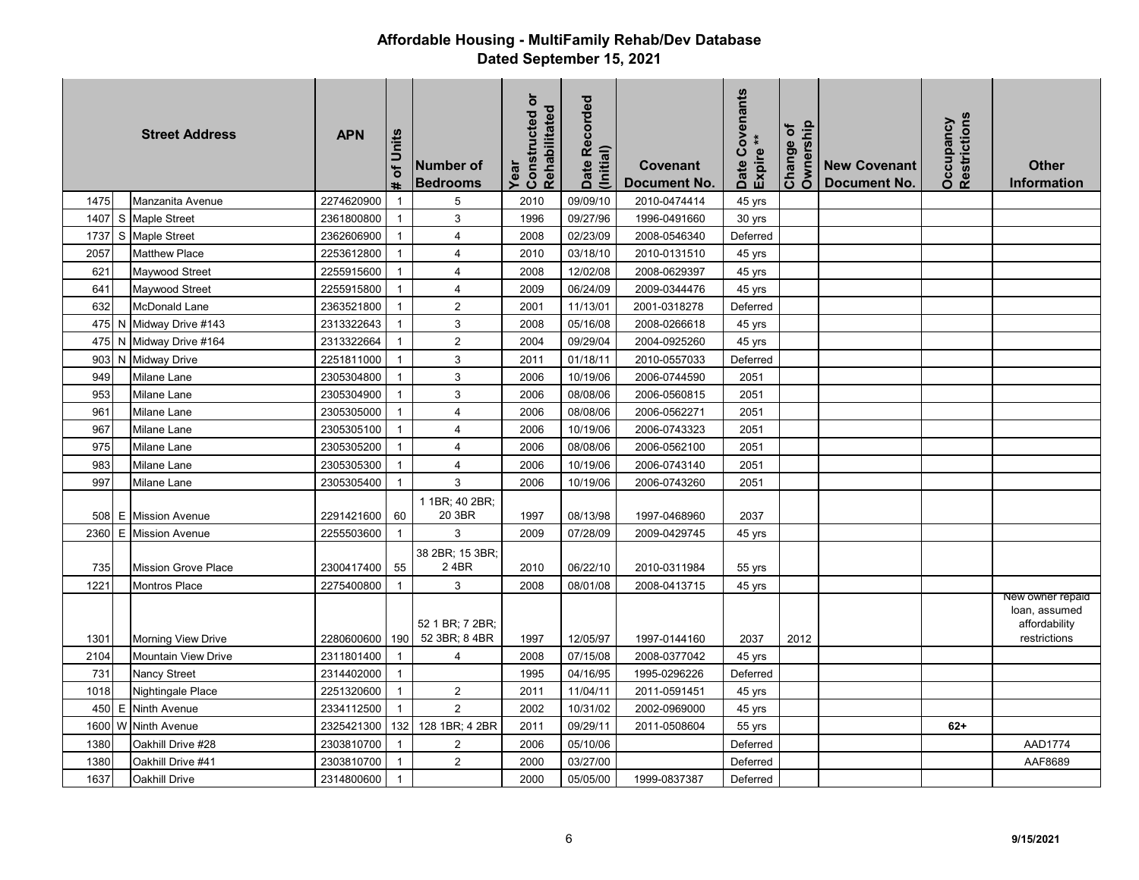|      |   | <b>Street Address</b>      | <b>APN</b> | # of Units   | Number of<br><b>Bedrooms</b>     | Constructed or<br>Rehabilitated<br>Year | Date Recorded<br>(Initial) | Covenant<br>Document No. | Covenants<br>$\ast$<br>Expire <sup>*</sup><br>Date | Ownership<br>Change of | <b>New Covenant</b><br><b>Document No.</b> | Restrictions<br>Occupancy | <b>Other</b><br><b>Information</b>                                 |
|------|---|----------------------------|------------|--------------|----------------------------------|-----------------------------------------|----------------------------|--------------------------|----------------------------------------------------|------------------------|--------------------------------------------|---------------------------|--------------------------------------------------------------------|
| 1475 |   | Manzanita Avenue           | 2274620900 | $\mathbf{1}$ | 5                                | 2010                                    | 09/09/10                   | 2010-0474414             | 45 yrs                                             |                        |                                            |                           |                                                                    |
| 1407 |   | S Maple Street             | 2361800800 | $\mathbf{1}$ | $\mathbf{3}$                     | 1996                                    | 09/27/96                   | 1996-0491660             | 30 yrs                                             |                        |                                            |                           |                                                                    |
| 1737 |   | S Maple Street             | 2362606900 | $\mathbf{1}$ | $\overline{4}$                   | 2008                                    | 02/23/09                   | 2008-0546340             | Deferred                                           |                        |                                            |                           |                                                                    |
| 2057 |   | <b>Matthew Place</b>       | 2253612800 | $\mathbf{1}$ | 4                                | 2010                                    | 03/18/10                   | 2010-0131510             | 45 yrs                                             |                        |                                            |                           |                                                                    |
| 621  |   | Maywood Street             | 2255915600 | $\mathbf{1}$ | $\overline{4}$                   | 2008                                    | 12/02/08                   | 2008-0629397             | 45 yrs                                             |                        |                                            |                           |                                                                    |
| 641  |   | Maywood Street             | 2255915800 | $\mathbf{1}$ | 4                                | 2009                                    | 06/24/09                   | 2009-0344476             | 45 yrs                                             |                        |                                            |                           |                                                                    |
| 632  |   | McDonald Lane              | 2363521800 | $\mathbf{1}$ | $\overline{2}$                   | 2001                                    | 11/13/01                   | 2001-0318278             | Deferred                                           |                        |                                            |                           |                                                                    |
|      |   | 475 N Midway Drive #143    | 2313322643 | $\mathbf{1}$ | 3                                | 2008                                    | 05/16/08                   | 2008-0266618             | 45 yrs                                             |                        |                                            |                           |                                                                    |
|      |   | 475 N Midway Drive #164    | 2313322664 | $\mathbf{1}$ | $\overline{2}$                   | 2004                                    | 09/29/04                   | 2004-0925260             | 45 yrs                                             |                        |                                            |                           |                                                                    |
| 903  | N | <b>Midway Drive</b>        | 2251811000 | $\mathbf{1}$ | 3                                | 2011                                    | 01/18/11                   | 2010-0557033             | Deferred                                           |                        |                                            |                           |                                                                    |
| 949  |   | Milane Lane                | 2305304800 | $\mathbf{1}$ | $\sqrt{3}$                       | 2006                                    | 10/19/06                   | 2006-0744590             | 2051                                               |                        |                                            |                           |                                                                    |
| 953  |   | Milane Lane                | 2305304900 | $\mathbf{1}$ | $\mathbf{3}$                     | 2006                                    | 08/08/06                   | 2006-0560815             | 2051                                               |                        |                                            |                           |                                                                    |
| 961  |   | Milane Lane                | 2305305000 | $\mathbf{1}$ | $\overline{4}$                   | 2006                                    | 08/08/06                   | 2006-0562271             | 2051                                               |                        |                                            |                           |                                                                    |
| 967  |   | Milane Lane                | 2305305100 | $\mathbf{1}$ | $\overline{4}$                   | 2006                                    | 10/19/06                   | 2006-0743323             | 2051                                               |                        |                                            |                           |                                                                    |
| 975  |   | Milane Lane                | 2305305200 | $\mathbf{1}$ | $\overline{4}$                   | 2006                                    | 08/08/06                   | 2006-0562100             | 2051                                               |                        |                                            |                           |                                                                    |
| 983  |   | Milane Lane                | 2305305300 | $\mathbf{1}$ | $\overline{4}$                   | 2006                                    | 10/19/06                   | 2006-0743140             | 2051                                               |                        |                                            |                           |                                                                    |
| 997  |   | Milane Lane                | 2305305400 | $\mathbf{1}$ | $\mathsf 3$                      | 2006                                    | 10/19/06                   | 2006-0743260             | 2051                                               |                        |                                            |                           |                                                                    |
|      |   | 508 E Mission Avenue       | 2291421600 | 60           | 1 1BR; 40 2BR;<br>20 3BR         | 1997                                    | 08/13/98                   | 1997-0468960             | 2037                                               |                        |                                            |                           |                                                                    |
| 2360 | E | <b>Mission Avenue</b>      | 2255503600 | $\mathbf{1}$ | 3                                | 2009                                    | 07/28/09                   | 2009-0429745             | 45 yrs                                             |                        |                                            |                           |                                                                    |
| 735  |   | <b>Mission Grove Place</b> | 2300417400 | 55           | 38 2BR; 15 3BR;<br>24BR          | 2010                                    | 06/22/10                   | 2010-0311984             | 55 yrs                                             |                        |                                            |                           |                                                                    |
| 1221 |   | <b>Montros Place</b>       | 2275400800 | $\mathbf{1}$ | 3                                | 2008                                    | 08/01/08                   | 2008-0413715             | 45 yrs                                             |                        |                                            |                           |                                                                    |
| 1301 |   | <b>Morning View Drive</b>  | 2280600600 | 190          | 52 1 BR; 7 2BR;<br>52 3BR; 8 4BR | 1997                                    | 12/05/97                   | 1997-0144160             | 2037                                               | 2012                   |                                            |                           | New owner repaid<br>loan, assumed<br>affordability<br>restrictions |
| 2104 |   | <b>Mountain View Drive</b> | 2311801400 | $\mathbf{1}$ | $\overline{4}$                   | 2008                                    | 07/15/08                   | 2008-0377042             | 45 yrs                                             |                        |                                            |                           |                                                                    |
| 731  |   | <b>Nancy Street</b>        | 2314402000 | $\mathbf{1}$ |                                  | 1995                                    | 04/16/95                   | 1995-0296226             | Deferred                                           |                        |                                            |                           |                                                                    |
| 1018 |   | Nightingale Place          | 2251320600 | $\mathbf{1}$ | $\overline{2}$                   | 2011                                    | 11/04/11                   | 2011-0591451             | 45 yrs                                             |                        |                                            |                           |                                                                    |
| 450  | E | <b>Ninth Avenue</b>        | 2334112500 | $\mathbf{1}$ | $\overline{2}$                   | 2002                                    | 10/31/02                   | 2002-0969000             | 45 yrs                                             |                        |                                            |                           |                                                                    |
| 1600 |   | W Ninth Avenue             | 2325421300 | 132          | 128 1BR; 4 2BR                   | 2011                                    | 09/29/11                   | 2011-0508604             | 55 yrs                                             |                        |                                            | $62+$                     |                                                                    |
| 1380 |   | Oakhill Drive #28          | 2303810700 | $\mathbf{1}$ | $\overline{2}$                   | 2006                                    | 05/10/06                   |                          | Deferred                                           |                        |                                            |                           | AAD1774                                                            |
| 1380 |   | Oakhill Drive #41          | 2303810700 | $\mathbf{1}$ | $\overline{2}$                   | 2000                                    | 03/27/00                   |                          | Deferred                                           |                        |                                            |                           | AAF8689                                                            |
| 1637 |   | Oakhill Drive              | 2314800600 | $\mathbf{1}$ |                                  | 2000                                    | 05/05/00                   | 1999-0837387             | Deferred                                           |                        |                                            |                           |                                                                    |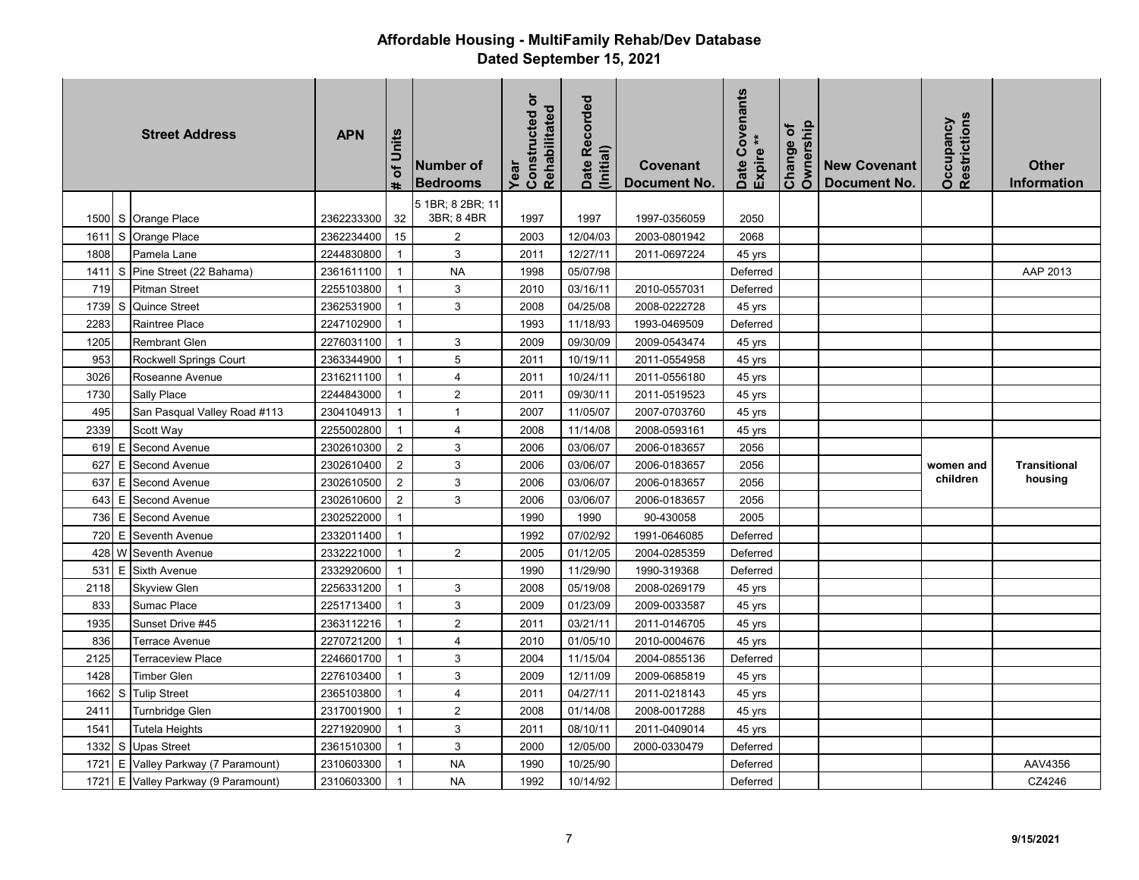|        |    | <b>Street Address</b>               | <b>APN</b> | of Units<br>ŧ  | Number of<br><b>Bedrooms</b> | ŏ<br>Rehabilitated<br>Constructed<br>Year | Date Recorded<br>(Initial) | Covenant<br><b>Document No.</b> | Date Covenants<br>Expire ** | Ownership<br>Change of | <b>New Covenant</b><br><b>Document No.</b> | Restrictions<br>Occupancy | <b>Other</b><br>Information |
|--------|----|-------------------------------------|------------|----------------|------------------------------|-------------------------------------------|----------------------------|---------------------------------|-----------------------------|------------------------|--------------------------------------------|---------------------------|-----------------------------|
|        |    |                                     |            |                | 5 1BR; 8 2BR; 11             |                                           |                            |                                 |                             |                        |                                            |                           |                             |
|        |    | 1500 S Orange Place                 | 2362233300 | 32             | 3BR; 8 4BR                   | 1997                                      | 1997                       | 1997-0356059                    | 2050                        |                        |                                            |                           |                             |
| 1611   |    | S Orange Place                      | 2362234400 | 15             | $\overline{2}$               | 2003                                      | 12/04/03                   | 2003-0801942                    | 2068                        |                        |                                            |                           |                             |
| 1808   |    | Pamela Lane                         | 2244830800 | $\mathbf{1}$   | 3                            | 2011                                      | 12/27/11                   | 2011-0697224                    | 45 yrs                      |                        |                                            |                           |                             |
| 1411   | S  | Pine Street (22 Bahama)             | 2361611100 | $\mathbf{1}$   | <b>NA</b>                    | 1998                                      | 05/07/98                   |                                 | Deferred                    |                        |                                            |                           | AAP 2013                    |
| 719    |    | Pitman Street                       | 2255103800 | $\overline{1}$ | 3                            | 2010                                      | 03/16/11                   | 2010-0557031                    | Deferred                    |                        |                                            |                           |                             |
| 1739   | S. | Quince Street                       | 2362531900 | $\overline{1}$ | 3                            | 2008                                      | 04/25/08                   | 2008-0222728                    | 45 yrs                      |                        |                                            |                           |                             |
| 2283   |    | Raintree Place                      | 2247102900 | $\mathbf{1}$   |                              | 1993                                      | 11/18/93                   | 1993-0469509                    | Deferred                    |                        |                                            |                           |                             |
| 1205   |    | Rembrant Glen                       | 2276031100 | $\overline{1}$ | 3                            | 2009                                      | 09/30/09                   | 2009-0543474                    | 45 yrs                      |                        |                                            |                           |                             |
| 953    |    | Rockwell Springs Court              | 2363344900 | $\overline{1}$ | 5                            | 2011                                      | 10/19/11                   | 2011-0554958                    | 45 yrs                      |                        |                                            |                           |                             |
| 3026   |    | Roseanne Avenue                     | 2316211100 | $\mathbf{1}$   | 4                            | 2011                                      | 10/24/11                   | 2011-0556180                    | 45 yrs                      |                        |                                            |                           |                             |
| 1730   |    | Sally Place                         | 2244843000 | $\overline{1}$ | $\sqrt{2}$                   | 2011                                      | 09/30/11                   | 2011-0519523                    | 45 yrs                      |                        |                                            |                           |                             |
| 495    |    | San Pasqual Valley Road #113        | 2304104913 | $\overline{1}$ | $\overline{1}$               | 2007                                      | 11/05/07                   | 2007-0703760                    | 45 yrs                      |                        |                                            |                           |                             |
| 2339   |    | Scott Way                           | 2255002800 | $\overline{1}$ | 4                            | 2008                                      | 11/14/08                   | 2008-0593161                    | 45 yrs                      |                        |                                            |                           |                             |
| 619 E  |    | Second Avenue                       | 2302610300 | $\overline{2}$ | 3                            | 2006                                      | 03/06/07                   | 2006-0183657                    | 2056                        |                        |                                            |                           |                             |
| 627    | E  | Second Avenue                       | 2302610400 | $\overline{2}$ | 3                            | 2006                                      | 03/06/07                   | 2006-0183657                    | 2056                        |                        |                                            | women and                 | <b>Transitional</b>         |
| 637    | E  | Second Avenue                       | 2302610500 | $\overline{2}$ | 3                            | 2006                                      | 03/06/07                   | 2006-0183657                    | 2056                        |                        |                                            | children                  | housing                     |
| 643    | E  | Second Avenue                       | 2302610600 | $\overline{2}$ | 3                            | 2006                                      | 03/06/07                   | 2006-0183657                    | 2056                        |                        |                                            |                           |                             |
| 736    | E  | Second Avenue                       | 2302522000 | $\mathbf{1}$   |                              | 1990                                      | 1990                       | 90-430058                       | 2005                        |                        |                                            |                           |                             |
| 720    | E  | Seventh Avenue                      | 2332011400 | $\mathbf{1}$   |                              | 1992                                      | 07/02/92                   | 1991-0646085                    | Deferred                    |                        |                                            |                           |                             |
| 428 W  |    | Seventh Avenue                      | 2332221000 | $\overline{1}$ | $\overline{2}$               | 2005                                      | 01/12/05                   | 2004-0285359                    | Deferred                    |                        |                                            |                           |                             |
| 531    | E  | <b>Sixth Avenue</b>                 | 2332920600 | $\overline{1}$ |                              | 1990                                      | 11/29/90                   | 1990-319368                     | Deferred                    |                        |                                            |                           |                             |
| 2118   |    | <b>Skyview Glen</b>                 | 2256331200 | $\mathbf{1}$   | 3                            | 2008                                      | 05/19/08                   | 2008-0269179                    | 45 yrs                      |                        |                                            |                           |                             |
| 833    |    | Sumac Place                         | 2251713400 | $\mathbf{1}$   | 3                            | 2009                                      | 01/23/09                   | 2009-0033587                    | 45 yrs                      |                        |                                            |                           |                             |
| 1935   |    | Sunset Drive #45                    | 2363112216 | $\overline{1}$ | $\sqrt{2}$                   | 2011                                      | 03/21/11                   | 2011-0146705                    | 45 yrs                      |                        |                                            |                           |                             |
| 836    |    | Terrace Avenue                      | 2270721200 | $\overline{1}$ | $\overline{4}$               | 2010                                      | 01/05/10                   | 2010-0004676                    | 45 yrs                      |                        |                                            |                           |                             |
| 2125   |    | <b>Terraceview Place</b>            | 2246601700 | $\mathbf{1}$   | 3                            | 2004                                      | 11/15/04                   | 2004-0855136                    | Deferred                    |                        |                                            |                           |                             |
| 1428   |    | Timber Glen                         | 2276103400 | $\overline{1}$ | 3                            | 2009                                      | 12/11/09                   | 2009-0685819                    | 45 yrs                      |                        |                                            |                           |                             |
| 1662   | S. | <b>Tulip Street</b>                 | 2365103800 | $\mathbf{1}$   | $\overline{4}$               | 2011                                      | 04/27/11                   | 2011-0218143                    | 45 yrs                      |                        |                                            |                           |                             |
| 2411   |    | Turnbridge Glen                     | 2317001900 | $\mathbf 1$    | $\sqrt{2}$                   | 2008                                      | 01/14/08                   | 2008-0017288                    | 45 yrs                      |                        |                                            |                           |                             |
| 1541   |    | Tutela Heights                      | 2271920900 | $\mathbf{1}$   | $\sqrt{3}$                   | 2011                                      | 08/10/11                   | 2011-0409014                    | 45 yrs                      |                        |                                            |                           |                             |
| 1332 S |    | <b>Upas Street</b>                  | 2361510300 | $\overline{1}$ | 3                            | 2000                                      | 12/05/00                   | 2000-0330479                    | Deferred                    |                        |                                            |                           |                             |
| 1721   |    | E Valley Parkway (7 Paramount)      | 2310603300 | $\mathbf{1}$   | <b>NA</b>                    | 1990                                      | 10/25/90                   |                                 | Deferred                    |                        |                                            |                           | AAV4356                     |
|        |    | 1721 E Valley Parkway (9 Paramount) | 2310603300 | $\overline{1}$ | <b>NA</b>                    | 1992                                      | 10/14/92                   |                                 | Deferred                    |                        |                                            |                           | CZ4246                      |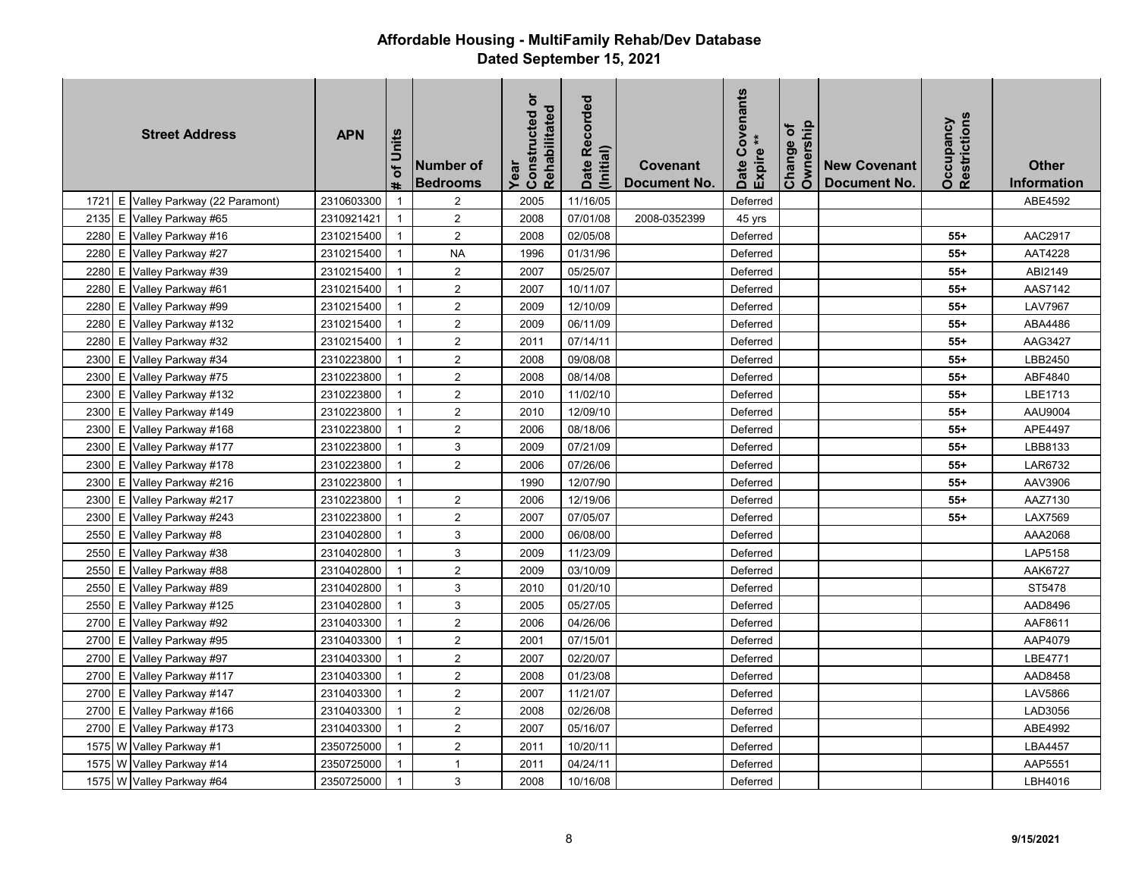|      |   | <b>Street Address</b>          | <b>APN</b> | of Units<br><b>th</b> | Number of<br><b>Bedrooms</b> | Constructed or<br>Rehabilitated<br>Year | Date Recorded<br>(Initial) | Covenant<br>Document No. | Covenants<br>Expire<br>Date | Ownership<br>Change of | <b>New Covenant</b><br>Document No. | Restrictions<br>Occupancy | <b>Other</b><br><b>Information</b> |
|------|---|--------------------------------|------------|-----------------------|------------------------------|-----------------------------------------|----------------------------|--------------------------|-----------------------------|------------------------|-------------------------------------|---------------------------|------------------------------------|
| 1721 |   | E Valley Parkway (22 Paramont) | 2310603300 | $\overline{1}$        | $\overline{2}$               | 2005                                    | 11/16/05                   |                          | Deferred                    |                        |                                     |                           | ABE4592                            |
| 2135 |   | E Valley Parkway #65           | 2310921421 | $\overline{1}$        | $\overline{2}$               | 2008                                    | 07/01/08                   | 2008-0352399             | 45 yrs                      |                        |                                     |                           |                                    |
| 2280 |   | E Valley Parkway #16           | 2310215400 | $\mathbf{1}$          | $\overline{2}$               | 2008                                    | 02/05/08                   |                          | Deferred                    |                        |                                     | $55+$                     | AAC2917                            |
| 2280 |   | E Valley Parkway #27           | 2310215400 | $\overline{1}$        | <b>NA</b>                    | 1996                                    | 01/31/96                   |                          | Deferred                    |                        |                                     | $55+$                     | AAT4228                            |
| 2280 | Е | Valley Parkway #39             | 2310215400 | $\mathbf{1}$          | 2                            | 2007                                    | 05/25/07                   |                          | Deferred                    |                        |                                     | $55+$                     | ABI2149                            |
| 2280 |   | E Valley Parkway #61           | 2310215400 | $\mathbf{1}$          | 2                            | 2007                                    | 10/11/07                   |                          | Deferred                    |                        |                                     | $55+$                     | AAS7142                            |
| 2280 |   | E Valley Parkway #99           | 2310215400 | $\mathbf{1}$          | 2                            | 2009                                    | 12/10/09                   |                          | Deferred                    |                        |                                     | $55+$                     | <b>LAV7967</b>                     |
| 2280 |   | E Valley Parkway #132          | 2310215400 | $\mathbf{1}$          | 2                            | 2009                                    | 06/11/09                   |                          | Deferred                    |                        |                                     | $55+$                     | ABA4486                            |
| 2280 |   | E Valley Parkway #32           | 2310215400 | $\mathbf{1}$          | $\sqrt{2}$                   | 2011                                    | 07/14/11                   |                          | Deferred                    |                        |                                     | $55+$                     | AAG3427                            |
| 2300 |   | E Valley Parkway #34           | 2310223800 | $\overline{1}$        | 2                            | 2008                                    | 09/08/08                   |                          | Deferred                    |                        |                                     | $55+$                     | LBB2450                            |
| 2300 | E | Valley Parkway #75             | 2310223800 | $\mathbf{1}$          | $\sqrt{2}$                   | 2008                                    | 08/14/08                   |                          | Deferred                    |                        |                                     | $55+$                     | ABF4840                            |
| 2300 |   | E Valley Parkway #132          | 2310223800 | $\mathbf{1}$          | 2                            | 2010                                    | 11/02/10                   |                          | Deferred                    |                        |                                     | $55+$                     | LBE1713                            |
| 2300 |   | E Valley Parkway #149          | 2310223800 | $\mathbf{1}$          | $\overline{2}$               | 2010                                    | 12/09/10                   |                          | Deferred                    |                        |                                     | $55+$                     | AAU9004                            |
| 2300 |   | E Valley Parkway #168          | 2310223800 | $\mathbf{1}$          | $\sqrt{2}$                   | 2006                                    | 08/18/06                   |                          | Deferred                    |                        |                                     | $55+$                     | APE4497                            |
| 2300 |   | E Valley Parkway #177          | 2310223800 | $\mathbf{1}$          | 3                            | 2009                                    | 07/21/09                   |                          | Deferred                    |                        |                                     | $55+$                     | LBB8133                            |
| 2300 |   | E Valley Parkway #178          | 2310223800 | $\mathbf{1}$          | $\overline{2}$               | 2006                                    | 07/26/06                   |                          | Deferred                    |                        |                                     | $55+$                     | LAR6732                            |
| 2300 |   | E Valley Parkway #216          | 2310223800 | $\overline{1}$        |                              | 1990                                    | 12/07/90                   |                          | Deferred                    |                        |                                     | $55+$                     | AAV3906                            |
| 2300 | E | Valley Parkway #217            | 2310223800 | $\mathbf{1}$          | $\sqrt{2}$                   | 2006                                    | 12/19/06                   |                          | Deferred                    |                        |                                     | $55+$                     | AAZ7130                            |
| 2300 |   | E Valley Parkway #243          | 2310223800 | $\mathbf{1}$          | 2                            | 2007                                    | 07/05/07                   |                          | Deferred                    |                        |                                     | $55+$                     | LAX7569                            |
| 2550 |   | E Valley Parkway #8            | 2310402800 | $\mathbf{1}$          | 3                            | 2000                                    | 06/08/00                   |                          | Deferred                    |                        |                                     |                           | AAA2068                            |
| 2550 |   | E Valley Parkway #38           | 2310402800 | $\overline{1}$        | 3                            | 2009                                    | 11/23/09                   |                          | Deferred                    |                        |                                     |                           | LAP5158                            |
| 2550 |   | E Valley Parkway #88           | 2310402800 | $\mathbf{1}$          | $\overline{2}$               | 2009                                    | 03/10/09                   |                          | Deferred                    |                        |                                     |                           | AAK6727                            |
| 2550 |   | E Valley Parkway #89           | 2310402800 | $\overline{1}$        | $\ensuremath{\mathsf{3}}$    | 2010                                    | 01/20/10                   |                          | Deferred                    |                        |                                     |                           | ST5478                             |
| 2550 | Ε | Valley Parkway #125            | 2310402800 | $\mathbf{1}$          | 3                            | 2005                                    | 05/27/05                   |                          | Deferred                    |                        |                                     |                           | AAD8496                            |
| 2700 |   | E Valley Parkway #92           | 2310403300 | $\mathbf{1}$          | $\sqrt{2}$                   | 2006                                    | 04/26/06                   |                          | Deferred                    |                        |                                     |                           | AAF8611                            |
| 2700 |   | E Valley Parkway #95           | 2310403300 | $\mathbf{1}$          | $\overline{2}$               | 2001                                    | 07/15/01                   |                          | Deferred                    |                        |                                     |                           | AAP4079                            |
| 2700 |   | E Valley Parkway #97           | 2310403300 | $\mathbf{1}$          | 2                            | 2007                                    | 02/20/07                   |                          | Deferred                    |                        |                                     |                           | LBE4771                            |
| 2700 |   | E Valley Parkway #117          | 2310403300 | $\overline{1}$        | $\overline{2}$               | 2008                                    | 01/23/08                   |                          | Deferred                    |                        |                                     |                           | AAD8458                            |
| 2700 |   | E Valley Parkway #147          | 2310403300 | $\overline{1}$        | $\overline{2}$               | 2007                                    | 11/21/07                   |                          | Deferred                    |                        |                                     |                           | <b>LAV5866</b>                     |
| 2700 |   | E Valley Parkway #166          | 2310403300 | $\mathbf{1}$          | $\sqrt{2}$                   | 2008                                    | 02/26/08                   |                          | Deferred                    |                        |                                     |                           | LAD3056                            |
| 2700 |   | E Valley Parkway #173          | 2310403300 | $\mathbf{1}$          | 2                            | 2007                                    | 05/16/07                   |                          | Deferred                    |                        |                                     |                           | ABE4992                            |
|      |   | 1575 W Valley Parkway #1       | 2350725000 | $\mathbf{1}$          | 2                            | 2011                                    | 10/20/11                   |                          | Deferred                    |                        |                                     |                           | LBA4457                            |
|      |   | 1575 W Valley Parkway #14      | 2350725000 | $\mathbf{1}$          | $\mathbf{1}$                 | 2011                                    | 04/24/11                   |                          | Deferred                    |                        |                                     |                           | AAP5551                            |
|      |   | 1575 W Valley Parkway #64      | 2350725000 | $\mathbf{1}$          | 3                            | 2008                                    | 10/16/08                   |                          | Deferred                    |                        |                                     |                           | LBH4016                            |